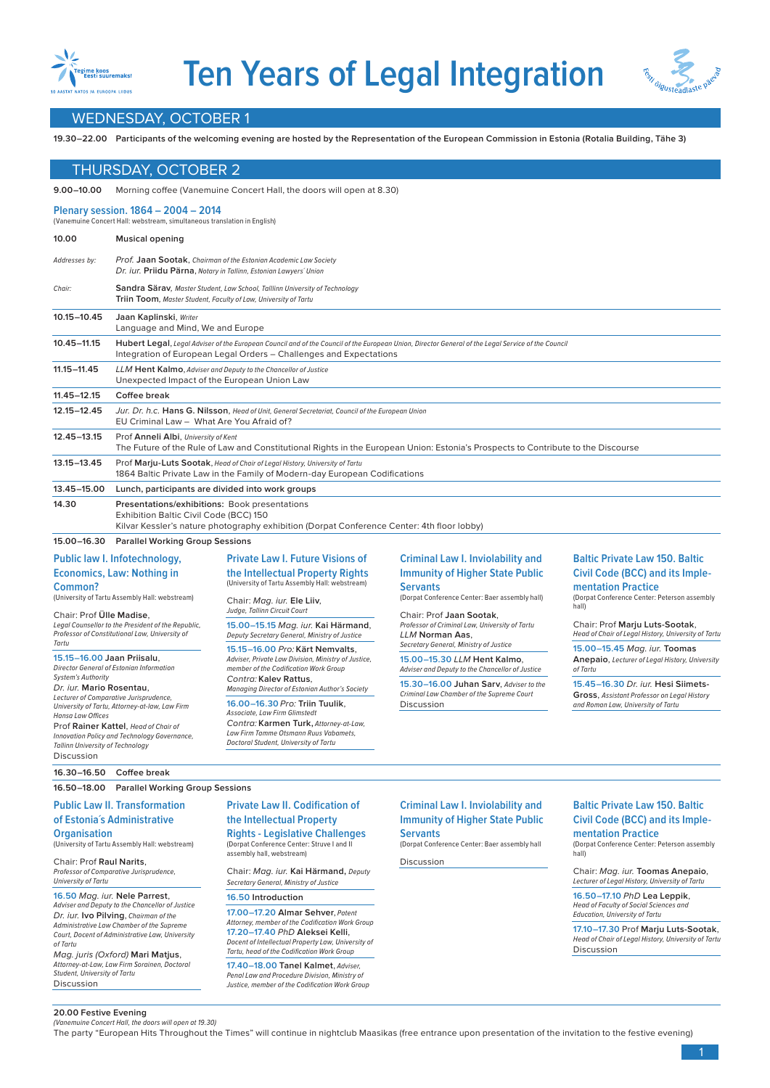



# WEDNESDAY, OCTOBER 1

**19.30–22.00 Participants of the welcoming evening are hosted by the Representation of the European Commission in Estonia (Rotalia Building, Tähe 3)**

# THURSDAY, OCTOBER 2

**9.00–10.00** Morning coffee (Vanemuine Concert Hall, the doors will open at 8.30)

### **Plenary session. 1864 – 2004 – 2014**

| (Vanemuine Concert Hall: webstream, simultaneous translation in English) |                                                                                                                                                                                                                          |
|--------------------------------------------------------------------------|--------------------------------------------------------------------------------------------------------------------------------------------------------------------------------------------------------------------------|
| 10.00                                                                    | <b>Musical opening</b>                                                                                                                                                                                                   |
| Addresses by:                                                            | Prof. Jaan Sootak, Chairman of the Estonian Academic Law Society<br>Dr. iur. Priidu Pärna, Notary in Tallinn, Estonian Lawyers' Union                                                                                    |
| Chair:                                                                   | Sandra Särav, Master Student, Law School, Talllinn University of Technology<br>Triin Toom, Master Student, Faculty of Law, University of Tartu                                                                           |
| 10.15-10.45                                                              | Jaan Kaplinski, Writer<br>Language and Mind, We and Europe                                                                                                                                                               |
| $10.45 - 11.15$                                                          | Hubert Legal, Legal Adviser of the European Council and of the Council of the European Union, Director General of the Legal Service of the Council<br>Integration of European Legal Orders - Challenges and Expectations |
| $11.15 - 11.45$                                                          | LLM Hent Kalmo, Adviser and Deputy to the Chancellor of Justice<br>Unexpected Impact of the European Union Law                                                                                                           |
| $11.45 - 12.15$                                                          | Coffee break                                                                                                                                                                                                             |
| $12.15 - 12.45$                                                          | Jur. Dr. h.c. Hans G. Nilsson, Head of Unit, General Secretariat, Council of the European Union<br>EU Criminal Law - What Are You Afraid of?                                                                             |
| 12.45-13.15                                                              | Prof Anneli Albi, University of Kent<br>The Future of the Rule of Law and Constitutional Rights in the European Union: Estonia's Prospects to Contribute to the Discourse                                                |
| 13.15-13.45                                                              | Prof Marju-Luts Sootak, Head of Chair of Legal History, University of Tartu<br>1864 Baltic Private Law in the Family of Modern-day European Codifications                                                                |
| 13.45-15.00                                                              | Lunch, participants are divided into work groups                                                                                                                                                                         |
| 14.30                                                                    | Presentations/exhibitions: Book presentations<br>Exhibition Baltic Civil Code (BCC) 150<br>Kilvar Kessler's nature photography exhibition (Dorpat Conference Center: 4th floor lobby)                                    |

# **15.00–16.30 Parallel Working Group Sessions**

#### **Public law I. Infotechnology, Economics, Law: Nothing in Common?**  (University of Tartu Assembly Hall: webstream) Chair: Prof **Ülle Madise**, Legal Counsellor to the President of the Republic, Professor of Constitutional Law, University of Tartu **15.15–16.00 Jaan Priisalu**, Director General of Estonian Information System's Authority Dr. iur. **Mario Rosentau**, Lecturer of Comparative Jurisprudence, University of Tartu, Attorney-at-law, Law Firm Hansa Law Offices Prof **Rainer Kattel**, Head of Chair of Innovation Policy and Technology Governance, Tallinn University of Technology (University of Tartu Assembly Hall: webstream) Chair: Mag. iur. **Ele Liiv**, Judge, Tallinn Circuit Court **15.00–15.15** Mag. iur. **Kai Härmand**, member of the Codification Work Group Contra: **Kalev Rattus**, Associate, Law Firm Glimstedt

# **Private Law I. Future Visions of the Intellectual Property Rights**

Deputy Secretary General, Ministry of Justice **15.15–16.00** Pro: **Kärt Nemvalts**, Adviser, Private Law Division, Ministry of Justice,

Managing Director of Estonian Author's Society **16.00–16.30** Pro: **Triin Tuulik**,

#### Contra: **Karmen Turk,** Attorney-at-Law, Law Firm Tamme Otsmann Ruus Vabamets, Doctoral Student, University of Tartu

### **Criminal Law I. Inviolability and Immunity of Higher State Public Servants**

(Dorpat Conference Center: Baer assembly hall)

Chair: Prof **Jaan Sootak**, Professor of Criminal Law, University of Tartu LLM **Norman Aas**, Secretary General, Ministry of Justice

**15.00–15.30** LLM **Hent Kalmo**, Adviser and Deputy to the Chancellor of Justice

**15.30–16.00 Juhan Sarv**, Adviser to the Criminal Law Chamber of the Supreme Court Discussion

# **Baltic Private Law 150. Baltic Civil Code (BCC) and its Implementation Practice**

(Dorpat Conference Center: Peterson assembly hall)

Chair: Prof **Marju Luts-Sootak**, Head of Chair of Legal History, University of Tartu

**15.00–15.45** Mag. iur. **Toomas Anepaio**, Lecturer of Legal History, University of Tartu

**15.45–16.30** Dr. iur. **Hesi Siimets-Gross**, Assistant Professor on Legal History and Roman Law, University of Tartu

# **Private Law II. Codification of**

# **the Intellectual Property Rights - Legislative Challenges**

(Dorpat Conference Center: Struve I and II assembly hall, webstream)

Chair: Mag. iur. **Kai Härmand,** Deputy Secretary General, Ministry of Justice

# **16.50 Introduction**

**17.00–17.20 Almar Sehver**, Patent Attorney, member of the Codification Work Group **17.20–17.40** PhD **Aleksei Kelli**, Docent of Intellectual Property Law, University of Tartu, head of the Codification Work Group

**17.40–18.00 Tanel Kalmet**, Adviser, Penal Law and Procedure Division, Ministry of Justice, member of the Codification Work Group

#### **Criminal Law I. Inviolability and Immunity of Higher State Public Servants**

(Dorpat Conference Center: Baer assembly hall

**Discussion** 

# **Baltic Private Law 150. Baltic Civil Code (BCC) and its Implementation Practice**

(Dorpat Conference Center: Peterson assembly hall)

Chair: Mag. iur. **Toomas Anepaio**, Lecturer of Legal History, University of Tartu

**16.50–17.10** PhD **Lea Leppik**, Head of Faculty of Social Scienc Education, University of Tartu

**17.10–17.30** Prof **Marju Luts-Sootak**, Head of Chair of Legal History, University of Tartu Discussion

#### **20.00 Festive Evening** (Vanemuine Concert Hall, the doors will open at 19.30)

Student, University of Tartu Discussion

Discussion

**Organisation**

University of Tartu

of Tartu

Chair: Prof **Raul Narits**, Professor of Comparative Jurisprudence,

**16.50** Mag. iur. **Nele Parrest**, Adviser and Deputy to the Chancellor of Justice Dr. iur. **Ivo Pilving**, Chairman of the Administrative Law Chamber of the Supreme Court, Docent of Administrative Law, University

Mag. juris (Oxford) **Mari Matjus**, Attorney-at-Law, Law Firm Sorainen, Doctoral

**16.30–16.50 Coffee break**

**Public Law II. Transformation of Estonia´s Administrative** 

(University of Tartu Assembly Hall: webstream)

**16.50–18.00 Parallel Working Group Sessions**

The party "European Hits Throughout the Times" will continue in nightclub Maasikas (free entrance upon presentation of the invitation to the festive evening)